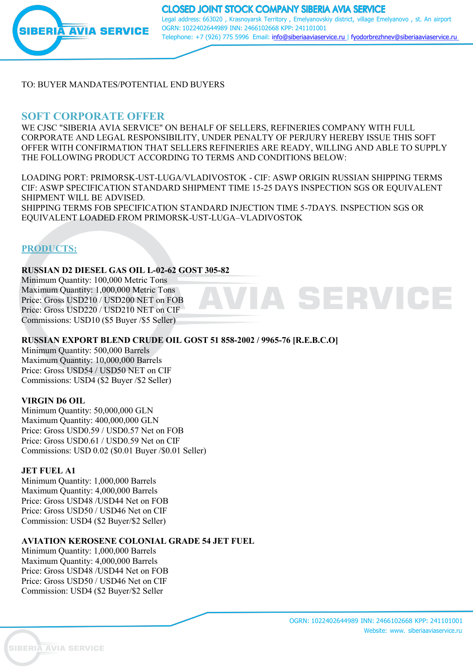

**CLOSED JOINT STOCK COMPANY SIBERIA AVIA SERVICE** Legal address: 663020 , Krasnoyarsk Territory , Emelyanovskiy district, village Emelyanovo , st. An airport OGRN: 1022402644989 INN: 2466102668 KPP: 241101001 Telephone: +7 (926) 775 5996 Email: [info@siberiaaviaservice.ru](mailto:info@siberiaaviaservice.ru) | [fyodorbrezhnev@siberiaaviaservice.ru](mailto:fyodorbrezhnev@siberiaaviaservice.ru)

TO: BUYER MANDATES/POTENTIAL END BUYERS

## **SOFT CORPORATE OFFER**

WE CJSC "SIBERIA AVIA SERVICE" ON BEHALF OF SELLERS, REFINERIES COMPANY WITH FULL CORPORATE AND LEGAL RESPONSIBILITY, UNDER PENALTY OF PERJURY HEREBY ISSUE THIS SOFT OFFER WITH CONFIRMATION THAT SELLERS REFINERIES ARE READY, WILLING AND ABLE TO SUPPLY THE FOLLOWING PRODUCT ACCORDING TO TERMS AND CONDITIONS BELOW:

LOADING PORT: PRIMORSK-UST-LUGA/VLADIVOSTOK - CIF: ASWP ORIGIN RUSSIAN SHIPPING TERMS CIF: ASWP SPECIFICATION STANDARD SHIPMENT TIME 15-25 DAYS INSPECTION SGS OR EQUIVALENT SHIPMENT WILL BE ADVISED. SHIPPING TERMS FOB SPECIFICATION STANDARD INJECTION TIME 5-7DAYS. INSPECTION SGS OR EQUIVALENT LOADED FROM PRIMORSK-UST-LUGA-VLADIVOSTOK

# **PRODUCTS:**

#### **RUSSIAN D2 DIESEL GAS OIL L-02-62 GOST 305-82**

Minimum Quantity: 100,000 Metric Tons Maximum Quantity: 1,000,000 Metric Tons Price: Gross USD210 / USD200 NET on FOB Price: Gross USD220 / USD210 NET on CIF Commissions: USD10 (\$5 Buyer /\$5 Seller)

## **RUSSIAN EXPORT BLEND CRUDE OIL GOST 51 858-2002 / 9965-76 [R.E.B.C.O]**

Minimum Quantity: 500,000 Barrels Maximum Quantity: 10,000,000 Barrels Price: Gross USD54 / USD50 NET on CIF Commissions: USD4 (\$2 Buyer /\$2 Seller)

#### **VIRGIN D6 OIL**

Minimum Quantity: 50,000,000 GLN Maximum Quantity: 400,000,000 GLN Price: Gross USD0.59 / USD0.57 Net on FOB Price: Gross USD0.61 / USD0.59 Net on CIF Commissions: USD 0.02 (\$0.01 Buyer /\$0.01 Seller)

#### **JET FUEL A1**

Minimum Quantity: 1,000,000 Barrels Maximum Quantity: 4,000,000 Barrels Price: Gross USD48 /USD44 Net on FOB Price: Gross USD50 / USD46 Net on CIF Commission: USD4 (\$2 Buyer/\$2 Seller)

#### **AVIATION KEROSENE COLONIAL GRADE 54 JET FUEL**

Minimum Quantity: 1,000,000 Barrels Maximum Quantity: 4,000,000 Barrels Price: Gross USD48 /USD44 Net on FOB Price: Gross USD50 / USD46 Net on CIF Commission: USD4 (\$2 Buyer/\$2 Seller

IA SERVICE